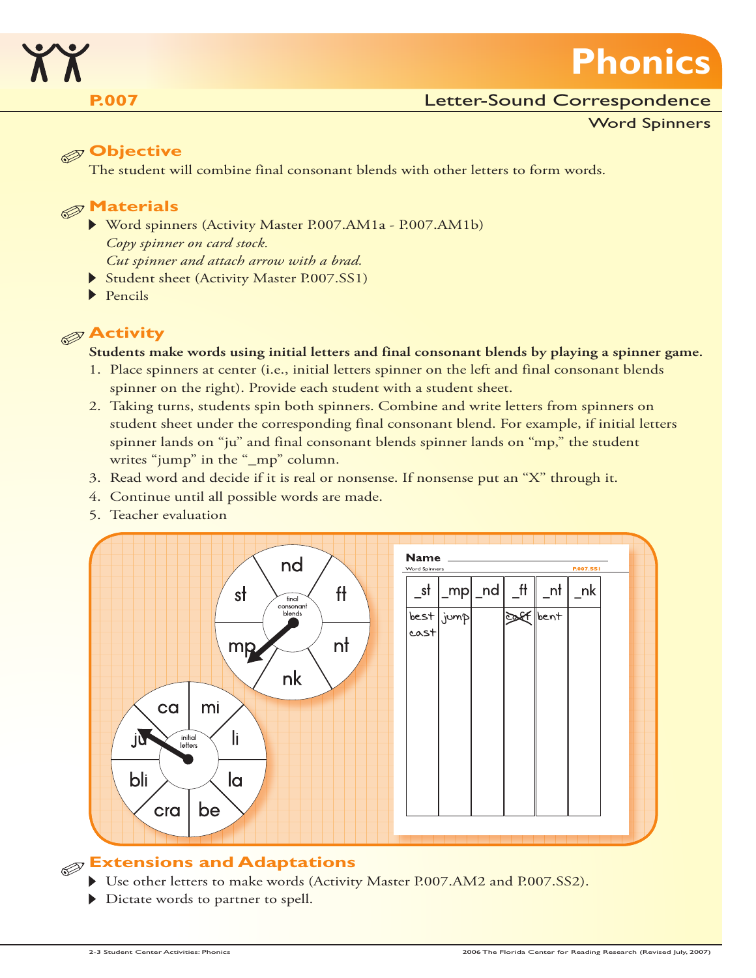

# Letter-Sound Correspondence

Word Spinners

**Phonics**

# **Objective**

The student will combine final consonant blends with other letters to form words.

# **Materials**

- Word spinners (Activity Master P.007.AM1a P.007.AM1b) *Copy spinner on card stock. Cut spinner and attach arrow with a brad.*
- Student sheet (Activity Master P.007.SS1)
- $\blacktriangleright$  Pencils

# **Activity**

### **Students make words using initial letters and final consonant blends by playing a spinner game.**

- 1. Place spinners at center (i.e., initial letters spinner on the left and final consonant blends spinner on the right). Provide each student with a student sheet.
- 2. Taking turns, students spin both spinners. Combine and write letters from spinners on student sheet under the corresponding final consonant blend. For example, if initial letters spinner lands on "ju" and final consonant blends spinner lands on "mp," the student writes "jump" in the "\_mp" column.
- 3. Read word and decide if it is real or nonsense. If nonsense put an "X" through it.
- 4. Continue until all possible words are made.
- 5. Teacher evaluation



# **Extensions and Adaptations**

- Use other letters to make words (Activity Master P.007.AM2 and P.007.SS2).
- Dictate words to partner to spell.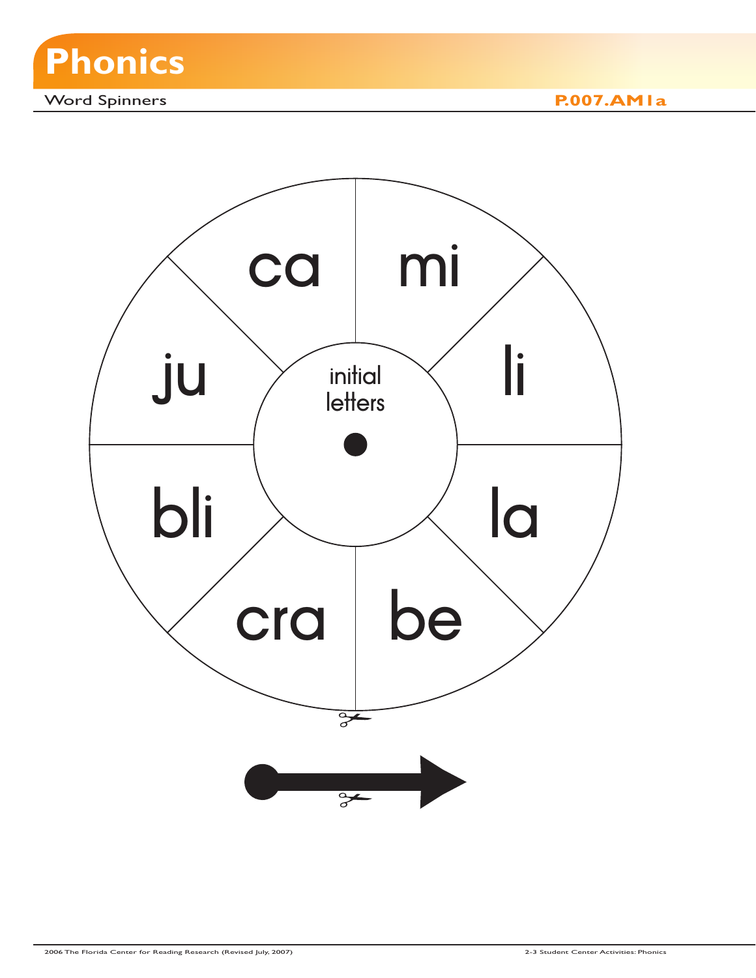

Word Spinners **P.007.AM1a**

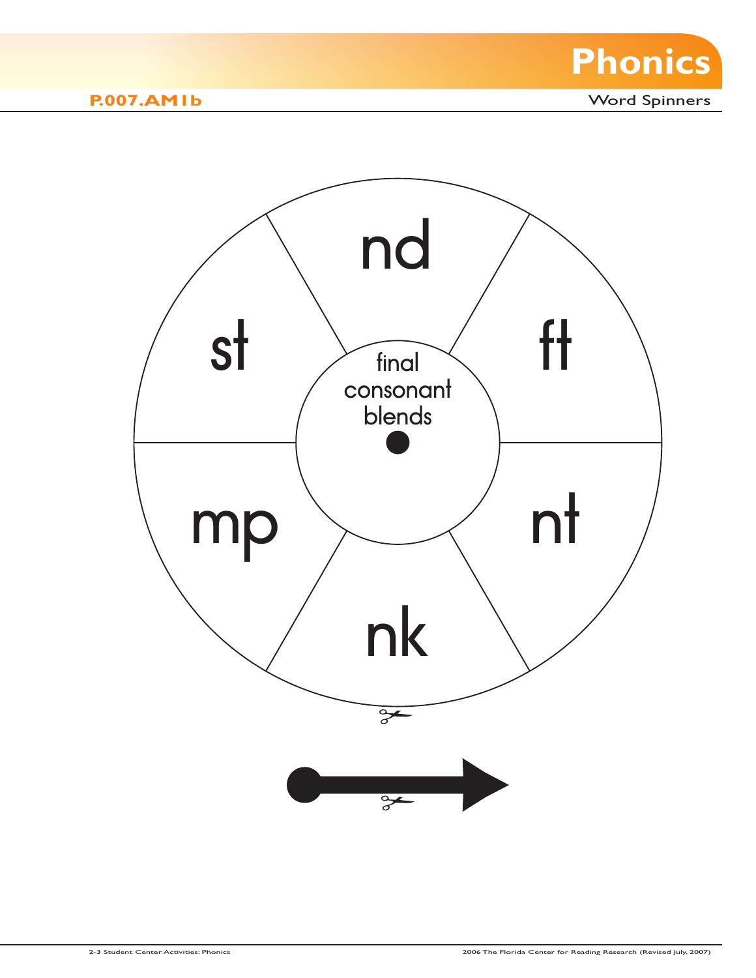

**P.007.AM1b** Word Spinners

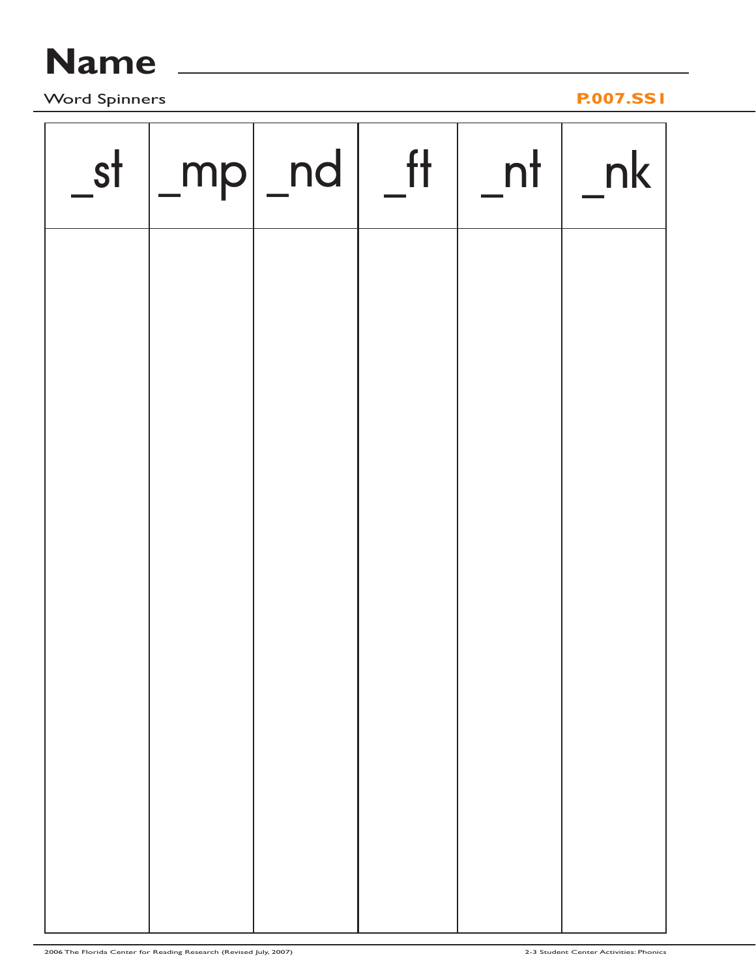# **Name**

Word Spinners **P.007.SS1**

| st | $\lfloor mp \rfloor$ nd | f | $nt$   nk |
|----|-------------------------|---|-----------|
|    |                         |   |           |
|    |                         |   |           |
|    |                         |   |           |
|    |                         |   |           |
|    |                         |   |           |
|    |                         |   |           |
|    |                         |   |           |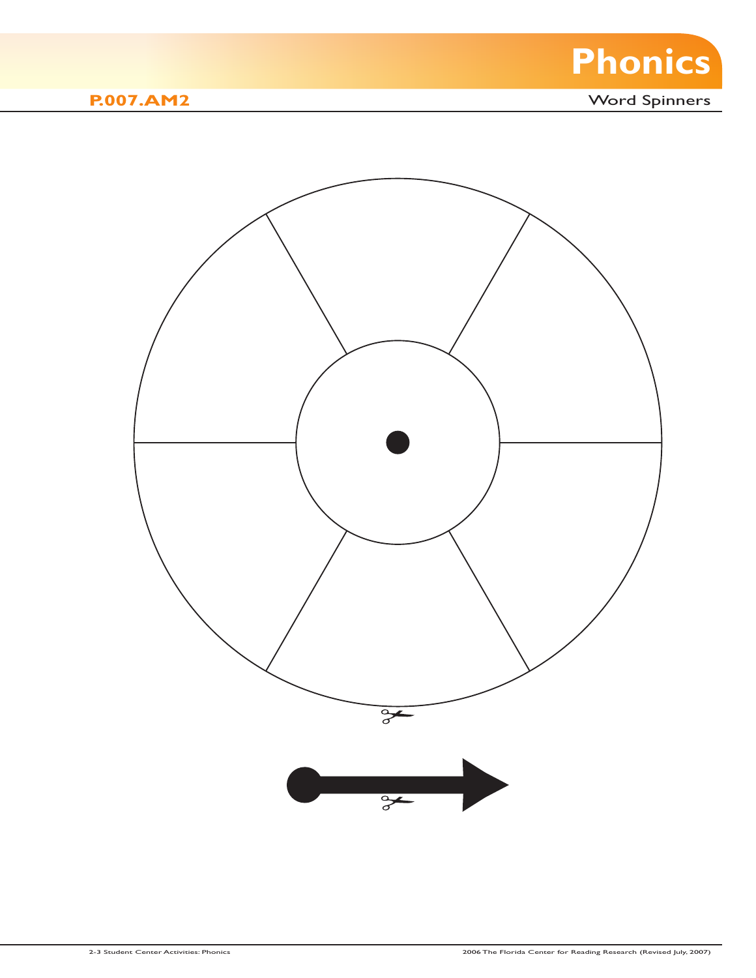

**P.007.AM2** Word Spinners